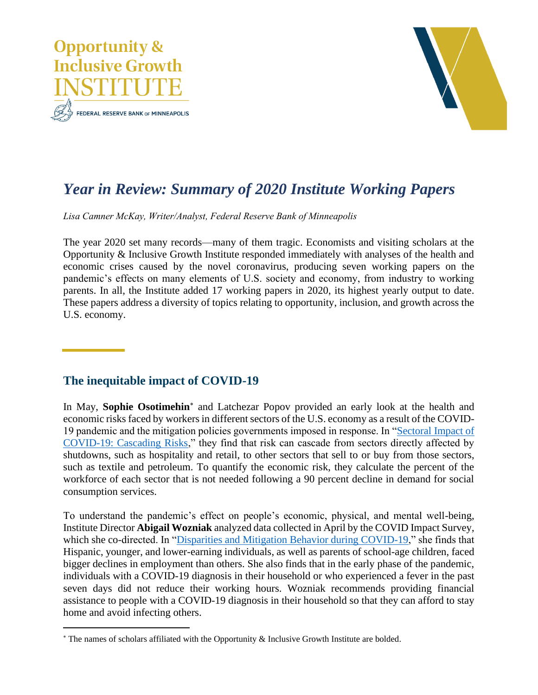



# *Year in Review: Summary of 2020 Institute Working Papers*

*Lisa Camner McKay, Writer/Analyst, Federal Reserve Bank of Minneapolis*

The year 2020 set many records—many of them tragic. Economists and visiting scholars at the Opportunity & Inclusive Growth Institute responded immediately with analyses of the health and economic crises caused by the novel coronavirus, producing seven working papers on the pandemic's effects on many elements of U.S. society and economy, from industry to working parents. In all, the Institute added 17 working papers in 2020, its highest yearly output to date. These papers address a diversity of topics relating to opportunity, inclusion, and growth across the U.S. economy.

## **The inequitable impact of COVID-19**

In May, **Sophie Osotimehin**<sup>\*</sup> and Latchezar Popov provided an early look at the health and economic risks faced by workers in different sectors of the U.S. economy as a result of the COVID-19 pandemic and the mitigation policies governments imposed in response. In ["Sectoral Impact of](https://www.minneapolisfed.org/research/institute-working-papers/sectoral-impact-of-covid-19-cascading-risks)  [COVID-19: Cascading Risks,](https://www.minneapolisfed.org/research/institute-working-papers/sectoral-impact-of-covid-19-cascading-risks)" they find that risk can cascade from sectors directly affected by shutdowns, such as hospitality and retail, to other sectors that sell to or buy from those sectors, such as textile and petroleum. To quantify the economic risk, they calculate the percent of the workforce of each sector that is not needed following a 90 percent decline in demand for social consumption services.

To understand the pandemic's effect on people's economic, physical, and mental well-being, Institute Director **Abigail Wozniak** analyzed data collected in April by the COVID Impact Survey, which she co-directed. In ["Disparities and Mitigation Behavior during COVID-19,](https://www.minneapolisfed.org/research/institute-working-papers/disparities-and-mitigation-behavior-during-covid-19)" she finds that Hispanic, younger, and lower-earning individuals, as well as parents of school-age children, faced bigger declines in employment than others. She also finds that in the early phase of the pandemic, individuals with a COVID-19 diagnosis in their household or who experienced a fever in the past seven days did not reduce their working hours. Wozniak recommends providing financial assistance to people with a COVID-19 diagnosis in their household so that they can afford to stay home and avoid infecting others.

The names of scholars affiliated with the Opportunity & Inclusive Growth Institute are bolded.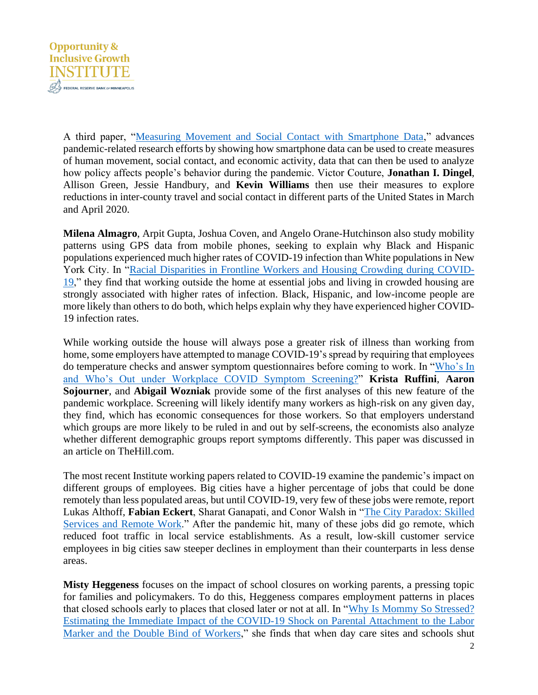

A third paper, ["Measuring Movement and Social Contact with Smartphone Data,](https://www.minneapolisfed.org/research/institute-working-papers/measuring-movement-and-social-contact-with-smartphone-data-a-real-time-application-to-covid-19)" advances pandemic-related research efforts by showing how smartphone data can be used to create measures of human movement, social contact, and economic activity, data that can then be used to analyze how policy affects people's behavior during the pandemic. Victor Couture, **Jonathan I. Dingel**, Allison Green, Jessie Handbury, and **Kevin Williams** then use their measures to explore reductions in inter-county travel and social contact in different parts of the United States in March and April 2020.

**Milena Almagro**, Arpit Gupta, Joshua Coven, and Angelo Orane-Hutchinson also study mobility patterns using GPS data from mobile phones, seeking to explain why Black and Hispanic populations experienced much higher rates of COVID-19 infection than White populations in New York City. In ["Racial Disparities in Frontline Workers and Housing Crowding during COVID-](https://www.minneapolisfed.org/research/institute-working-papers/racial-disparities-in-frontline-workers-and-housing-crowding-during-covid-19-evidence-from-geolocation-data)[19,](https://www.minneapolisfed.org/research/institute-working-papers/racial-disparities-in-frontline-workers-and-housing-crowding-during-covid-19-evidence-from-geolocation-data)" they find that working outside the home at essential jobs and living in crowded housing are strongly associated with higher rates of infection. Black, Hispanic, and low-income people are more likely than others to do both, which helps explain why they have experienced higher COVID-19 infection rates.

While working outside the house will always pose a greater risk of illness than working from home, some employers have attempted to manage COVID-19's spread by requiring that employees do temperature checks and answer symptom questionnaires before coming to work. In ["Who's In](https://www.minneapolisfed.org/research/institute-working-papers/whos-in-and-whos-out-under-workplace-covid-symptom-screening)  [and Who's Out under Workplace COVID](https://www.minneapolisfed.org/research/institute-working-papers/whos-in-and-whos-out-under-workplace-covid-symptom-screening) Symptom Screening?" **Krista Ruffini**, **Aaron Sojourner**, and **Abigail Wozniak** provide some of the first analyses of this new feature of the pandemic workplace. Screening will likely identify many workers as high-risk on any given day, they find, which has economic consequences for those workers. So that employers understand which groups are more likely to be ruled in and out by self-screens, the economists also analyze whether different demographic groups report symptoms differently. This paper was discussed in an article on TheHill.com.

The most recent Institute working papers related to COVID-19 examine the pandemic's impact on different groups of employees. Big cities have a higher percentage of jobs that could be done remotely than less populated areas, but until COVID-19, very few of these jobs were remote, report Lukas Althoff, **Fabian Eckert**, Sharat Ganapati, and Conor Walsh in ["The City Paradox: Skilled](https://www.minneapolisfed.org/research/institute-working-papers/the-city-paradox-skilled-services-and-remote-work)  [Services and Remote Work.](https://www.minneapolisfed.org/research/institute-working-papers/the-city-paradox-skilled-services-and-remote-work)" After the pandemic hit, many of these jobs did go remote, which reduced foot traffic in local service establishments. As a result, low-skill customer service employees in big cities saw steeper declines in employment than their counterparts in less dense areas.

**Misty Heggeness** focuses on the impact of school closures on working parents, a pressing topic for families and policymakers. To do this, Heggeness compares employment patterns in places that closed schools early to places that closed later or not at all. In ["Why Is Mommy So Stressed?](https://www.minneapolisfed.org/research/institute-working-papers/why-is-mommy-so-stressed-estimating-the-immediate-impact-of-the-covid-19-shock-on-parental-attachment-to-the-labor-market-and-the-double-bind-of-mothers)  [Estimating the Immediate Impact of the COVID-19 Shock on Parental Attachment to the Labor](https://www.minneapolisfed.org/research/institute-working-papers/why-is-mommy-so-stressed-estimating-the-immediate-impact-of-the-covid-19-shock-on-parental-attachment-to-the-labor-market-and-the-double-bind-of-mothers)  [Marker and the Double Bind of Workers,](https://www.minneapolisfed.org/research/institute-working-papers/why-is-mommy-so-stressed-estimating-the-immediate-impact-of-the-covid-19-shock-on-parental-attachment-to-the-labor-market-and-the-double-bind-of-mothers)" she finds that when day care sites and schools shut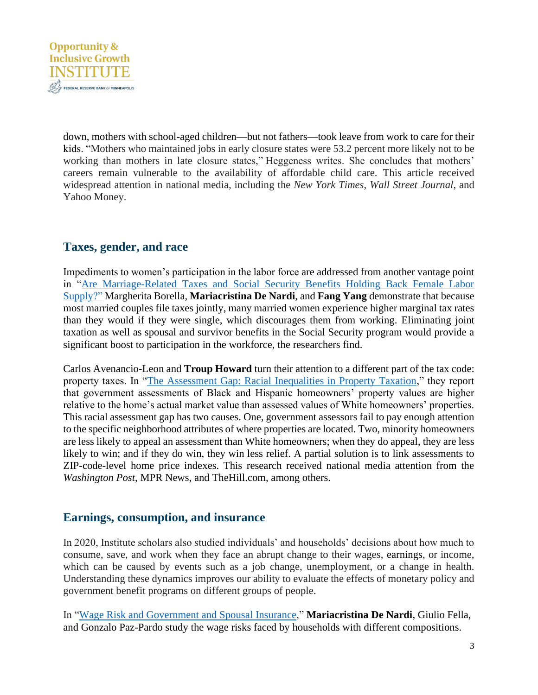

down, mothers with school-aged children—but not fathers—took leave from work to care for their kids. "Mothers who maintained jobs in early closure states were 53.2 percent more likely not to be working than mothers in late closure states," Heggeness writes. She concludes that mothers' careers remain vulnerable to the availability of affordable child care. This article received widespread attention in national media, including the *New York Times*, *Wall Street Journal*, and Yahoo Money.

## **Taxes, gender, and race**

Impediments to women's participation in the labor force are addressed from another vantage point in ["Are Marriage-Related Taxes and Social Security Benefits Holding Back Female Labor](https://www.minneapolisfed.org/research/institute-working-papers/are-marriage-related-taxes-and-social-security-benefits-holding-back-female-labor-supply)  [Supply?"](https://www.minneapolisfed.org/research/institute-working-papers/are-marriage-related-taxes-and-social-security-benefits-holding-back-female-labor-supply) Margherita Borella, **Mariacristina De Nardi**, and **Fang Yang** demonstrate that because most married couples file taxes jointly, many married women experience higher marginal tax rates than they would if they were single, which discourages them from working. Eliminating joint taxation as well as spousal and survivor benefits in the Social Security program would provide a significant boost to participation in the workforce, the researchers find.

Carlos Avenancio-Leon and **Troup Howard** turn their attention to a different part of the tax code: property taxes. In ["The Assessment Gap: Racial Inequalities in Property Taxation,](https://www.minneapolisfed.org/research/institute-working-papers/disparities-and-mitigation-behavior-during-covid-19)" they report that government assessments of Black and Hispanic homeowners' property values are higher relative to the home's actual market value than assessed values of White homeowners' properties. This racial assessment gap has two causes. One, government assessors fail to pay enough attention to the specific neighborhood attributes of where properties are located. Two, minority homeowners are less likely to appeal an assessment than White homeowners; when they do appeal, they are less likely to win; and if they do win, they win less relief. A partial solution is to link assessments to ZIP-code-level home price indexes. This research received national media attention from the *Washington Post*, MPR News, and TheHill.com, among others.

#### **Earnings, consumption, and insurance**

In 2020, Institute scholars also studied individuals' and households' decisions about how much to consume, save, and work when they face an abrupt change to their wages, earnings, or income, which can be caused by events such as a job change, unemployment, or a change in health. Understanding these dynamics improves our ability to evaluate the effects of monetary policy and government benefit programs on different groups of people.

In ["Wage Risk and Government and Spousal Insurance,](https://www.minneapolisfed.org/research/institute-working-papers/wage-risk-and-government-and-spousal-insurance)" **Mariacristina De Nardi**, Giulio Fella, and Gonzalo Paz-Pardo study the wage risks faced by households with different compositions.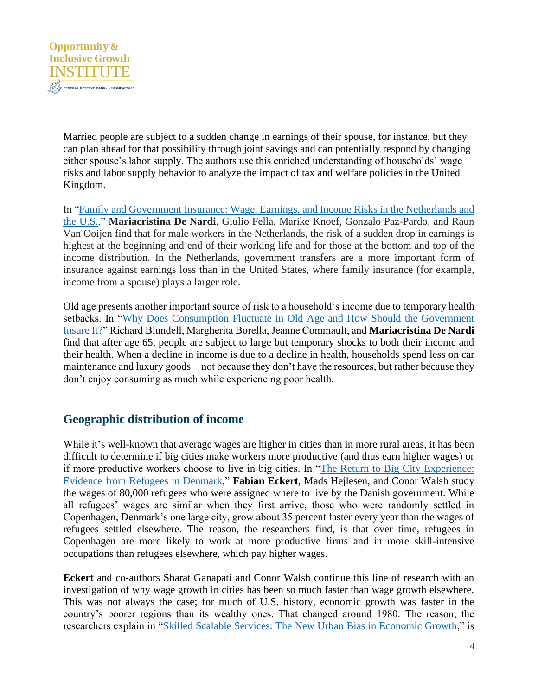

Married people are subject to a sudden change in earnings of their spouse, for instance, but they can plan ahead for that possibility through joint savings and can potentially respond by changing either spouse's labor supply. The authors use this enriched understanding of households' wage risks and labor supply behavior to analyze the impact of tax and welfare policies in the United Kingdom.

In ["Family and Government Insurance: Wage, Earnings, and Income Risks](https://www.minneapolisfed.org/research/institute-working-papers/family-and-government-insurance-wage-earnings-and-income-risks-in-the-netherlands-and-the-us) in the Netherlands and [the U.S.,](https://www.minneapolisfed.org/research/institute-working-papers/family-and-government-insurance-wage-earnings-and-income-risks-in-the-netherlands-and-the-us)" **Mariacristina De Nardi**, Giulio Fella, Marike Knoef, Gonzalo Paz-Pardo, and Raun Van Ooijen find that for male workers in the Netherlands, the risk of a sudden drop in earnings is highest at the beginning and end of their working life and for those at the bottom and top of the income distribution. In the Netherlands, government transfers are a more important form of insurance against earnings loss than in the United States, where family insurance (for example, income from a spouse) plays a larger role.

Old age presents another important source of risk to a household's income due to temporary health setbacks. In ["Why Does Consumption Fluctuate in Old Age and How Should the Government](https://www.minneapolisfed.org/research/institute-working-papers/why-does-consumption-fluctuate-in-old-age-and-how-should-the-government-insure-it)  [Insure It?"](https://www.minneapolisfed.org/research/institute-working-papers/why-does-consumption-fluctuate-in-old-age-and-how-should-the-government-insure-it) Richard Blundell, Margherita Borella, Jeanne Commault, and **Mariacristina De Nardi** find that after age 65, people are subject to large but temporary shocks to both their income and their health. When a decline in income is due to a decline in health, households spend less on car maintenance and luxury goods—not because they don't have the resources, but rather because they don't enjoy consuming as much while experiencing poor health.

## **Geographic distribution of income**

While it's well-known that average wages are higher in cities than in more rural areas, it has been difficult to determine if big cities make workers more productive (and thus earn higher wages) or if more productive workers choose to live in big cities. In ["The Return to Big City Experience:](https://www.minneapolisfed.org/research/institute-working-papers/the-return-to-big-city-experience-evidence-from-refugees-in-denmark)  [Evidence from Refugees in Denmark,](https://www.minneapolisfed.org/research/institute-working-papers/the-return-to-big-city-experience-evidence-from-refugees-in-denmark)" **Fabian Eckert**, Mads Hejlesen, and Conor Walsh study the wages of 80,000 refugees who were assigned where to live by the Danish government. While all refugees' wages are similar when they first arrive, those who were randomly settled in Copenhagen, Denmark's one large city, grow about 35 percent faster every year than the wages of refugees settled elsewhere. The reason, the researchers find, is that over time, refugees in Copenhagen are more likely to work at more productive firms and in more skill-intensive occupations than refugees elsewhere, which pay higher wages.

**Eckert** and co-authors Sharat Ganapati and Conor Walsh continue this line of research with an investigation of why wage growth in cities has been so much faster than wage growth elsewhere. This was not always the case; for much of U.S. history, economic growth was faster in the country's poorer regions than its wealthy ones. That changed around 1980. The reason, the researchers explain in ["Skilled Scalable Services: The New Urban Bias in Economic Growth,](https://www.minneapolisfed.org/research/institute-working-papers/skilled-scalable-services-the-new-urban-bias-in-economic-growth)" is